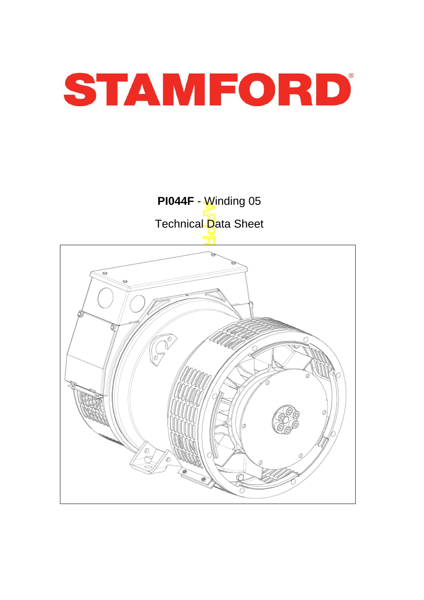



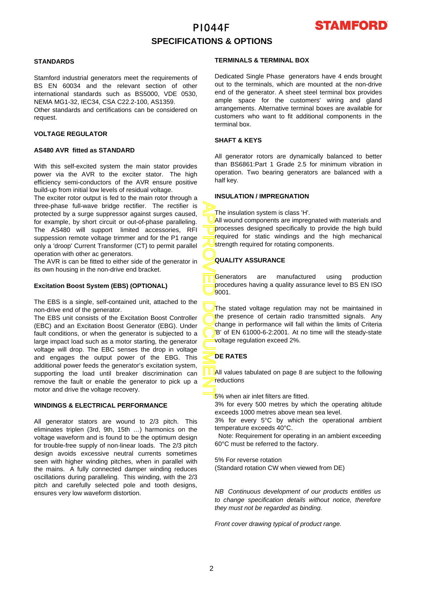

# **SPECIFICATIONS & OPTIONS**

## **STANDARDS**

Stamford industrial generators meet the requirements o f BS EN 60034 and the relevant section of other international standards such as BS5000, VDE 0530, NEMA MG1-32, IEC34, CSA C22.2-100, AS1359.

Other standards and certifications can be considered on request.

## **VOLTAGE REGULATOR**

#### **AS480 AVR fitted as STANDARD**

With this self-excited system the main stator provides power via the AVR to the exciter stator. The high efficiency semi-conductors of the AVR ensure positive build-up from initial low levels of residual voltage.

The exciter rotor output is fed to the main rotor through a three-phase full-wave bridge rectifier. The rectifier is protected by a surge suppressor against surges caused, for example, by short circuit or out-of-phase paralleling. The AS480 will support limited accessories, RFI suppession remote voltage trimmer and for the P1 range only a 'droop' Current Transformer (CT) to permit parallel operation with other ac generators.

The AVR is can be fitted to either side of the generator in its own housing in the non-drive end bracket.

## **Excitation Boost System (EBS) (OPTIONAL)**

The EBS is a single, self-contained unit, attached to the non-drive end of the generator.

The EBS unit consists of the Excitation Boost Controller (EBC) and an Excitation Boost Generator (EBG). Unde r fault conditions, or when the generator is subjected to a large impact load such as a motor starting, the generator voltage will drop. The EBC senses the drop in voltage and engages the output power of the EBG. This additional power feeds the generator's excitation system, supporting the load until breaker discrimination can remove the fault or enable the generator to pick up a motor and drive the voltage recovery.

### **WINDINGS & ELECTRICAL PERFORMANCE**

All generator stators are wound to 2/3 pitch. This eliminates triplen (3rd, 9th, 15th …) harmonics on the voltage waveform and is found to be the optimum design for trouble-free supply of non-linear loads. The 2/3 pitch design avoids excessive neutral currents sometimes seen with higher winding pitches, when in parallel with the mains. A fully connected damper winding reduces oscillations during paralleling. This winding, with the 2/3 pitch and carefully selected pole and tooth designs, ensures very low waveform distortion.

### **TERMINALS & TERMINAL BOX**

Dedicated Single Phase generators have 4 ends brought out to the terminals, which are mounted at the non-drive end of the generator. A sheet steel terminal box provides ample space for the customers' wiring and gland arrangements. Alternative terminal boxes are available fo r customers who want to fit additional components in the terminal box.

## **SHAFT & KEYS**

All generator rotors are dynamically balanced to better than BS6861:Part 1 Grade 2.5 for minimum vibration in operation. Two bearing generators are balanced with a half key.

## **INSULATION / IMPREGNATION**

The insulation system is class 'H'.

All wound components are impregnated with materials and processes designed specifically to provide the high build required for static windings and the high mechanical strength required for rotating components.

## **QUALITY ASSURANCE**

Generators are manufactured using production procedures having a quality assurance level to BS EN ISO 9001.

APPROVED DOCUMENT The stated voltage regulation may not be maintained in the presence of certain radio transmitted signals. Any change in performance will fall within the limits of Criteria B' of EN 61000-6-2:2001. At no time will the steady-state voltage regulation exceed 2%.

## **DE RATES**

All values tabulated on page 8 are subiect to the following reductions

5% when air inlet filters are fitted.

3% for every 500 metres by which the operating altitude exceeds 1000 metres above mean sea level.

3% for every 5°C by which the operational ambient temperature exceeds 40°C.

 Note: Requirement for operating in an ambient exceeding 60°C must be referred to the factory.

5% For reverse rotation

(Standard rotation CW when viewed from DE)

*NB Continuous development of our products entitles us to change specification details without notice, therefore they must not be regarded as binding.* 

*Front cover drawing typical of product range.*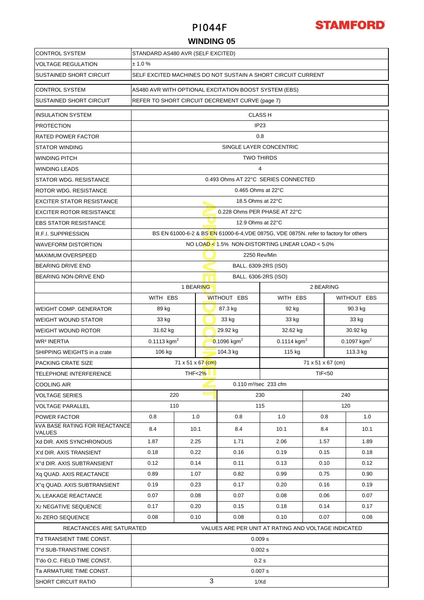

## **WINDING 05**

| <b>CONTROL SYSTEM</b>                   | STANDARD AS480 AVR (SELF EXCITED)                            |                                |                               |                                                                                      |                                        |         |                   |               |  |  |
|-----------------------------------------|--------------------------------------------------------------|--------------------------------|-------------------------------|--------------------------------------------------------------------------------------|----------------------------------------|---------|-------------------|---------------|--|--|
| <b>VOLTAGE REGULATION</b>               | ± 1.0%                                                       |                                |                               |                                                                                      |                                        |         |                   |               |  |  |
| SUSTAINED SHORT CIRCUIT                 | SELF EXCITED MACHINES DO NOT SUSTAIN A SHORT CIRCUIT CURRENT |                                |                               |                                                                                      |                                        |         |                   |               |  |  |
| <b>CONTROL SYSTEM</b>                   | AS480 AVR WITH OPTIONAL EXCITATION BOOST SYSTEM (EBS)        |                                |                               |                                                                                      |                                        |         |                   |               |  |  |
| SUSTAINED SHORT CIRCUIT                 |                                                              |                                |                               | REFER TO SHORT CIRCUIT DECREMENT CURVE (page 7)                                      |                                        |         |                   |               |  |  |
| <b>INSULATION SYSTEM</b>                |                                                              |                                |                               |                                                                                      | <b>CLASS H</b>                         |         |                   |               |  |  |
| PROTECTION                              |                                                              |                                |                               |                                                                                      | IP <sub>23</sub>                       |         |                   |               |  |  |
| RATED POWER FACTOR                      |                                                              | 0.8                            |                               |                                                                                      |                                        |         |                   |               |  |  |
| STATOR WINDING                          |                                                              |                                |                               |                                                                                      | SINGLE LAYER CONCENTRIC                |         |                   |               |  |  |
| WINDING PITCH                           |                                                              |                                |                               | <b>TWO THIRDS</b>                                                                    |                                        |         |                   |               |  |  |
| WINDING LEADS                           |                                                              |                                |                               |                                                                                      | $\overline{4}$                         |         |                   |               |  |  |
| STATOR WDG. RESISTANCE                  |                                                              |                                |                               | 0.493 Ohms AT 22°C SERIES CONNECTED                                                  |                                        |         |                   |               |  |  |
| ROTOR WDG. RESISTANCE                   |                                                              |                                |                               | $0.465$ Ohms at 22 $\degree$ C                                                       |                                        |         |                   |               |  |  |
| <b>EXCITER STATOR RESISTANCE</b>        |                                                              |                                |                               | 18.5 Ohms at 22°C                                                                    |                                        |         |                   |               |  |  |
| EXCITER ROTOR RESISTANCE                |                                                              |                                |                               | 0.228 Ohms PER PHASE AT 22°C                                                         |                                        |         |                   |               |  |  |
| <b>EBS STATOR RESISTANCE</b>            |                                                              |                                |                               | 12.9 Ohms at 22°C                                                                    |                                        |         |                   |               |  |  |
| R.F.I. SUPPRESSION                      |                                                              |                                |                               | BS EN 61000-6-2 & BS EN 61000-6-4, VDE 0875G, VDE 0875N. refer to factory for others |                                        |         |                   |               |  |  |
| <b>WAVEFORM DISTORTION</b>              |                                                              |                                |                               | NO LOAD $\leq 1.5\%$ NON-DISTORTING LINEAR LOAD < 5.0%                               |                                        |         |                   |               |  |  |
| <b>MAXIMUM OVERSPEED</b>                |                                                              |                                |                               |                                                                                      | 2250 Rev/Min                           |         |                   |               |  |  |
| <b>BEARING DRIVE END</b>                |                                                              |                                |                               |                                                                                      | BALL. 6309-2RS (ISO)                   |         |                   |               |  |  |
| BEARING NON-DRIVE END                   |                                                              |                                |                               |                                                                                      | BALL. 6306-2RS (ISO)                   |         |                   |               |  |  |
|                                         |                                                              |                                | 1 BEARING                     |                                                                                      |                                        |         | 2 BEARING         |               |  |  |
|                                         | WITH EBS                                                     |                                |                               | WITHOUT EBS                                                                          | WITH EBS<br>WITHOUT EBS                |         |                   |               |  |  |
| WEIGHT COMP. GENERATOR                  | 89 kg<br>87.3 kg<br>92 kg                                    |                                |                               |                                                                                      |                                        | 90.3 kg |                   |               |  |  |
| WEIGHT WOUND STATOR                     | 33 kg                                                        |                                |                               | 33 kg                                                                                | 33 kg                                  |         |                   | 33 kg         |  |  |
| WEIGHT WOUND ROTOR                      | 31.62 kg                                                     |                                |                               | 29.92 kg                                                                             | 32.62 kg                               |         |                   | 30.92 kg      |  |  |
| WR2 INERTIA                             | 0.1113 kgm <sup>2</sup>                                      |                                |                               | 0.1096 kgm <sup>2</sup>                                                              | $0.1114$ kgm <sup>2</sup>              |         |                   | 0.1097 $kgm2$ |  |  |
| SHIPPING WEIGHTS in a crate             | 106 kg                                                       | 104.3 kg<br>115 kg<br>113.3 kg |                               |                                                                                      |                                        |         |                   |               |  |  |
| PACKING CRATE SIZE                      |                                                              |                                | $71 \times 51 \times 67$ (cm) |                                                                                      |                                        |         | 71 x 51 x 67 (cm) |               |  |  |
| TELEPHONE INTERFERENCE                  |                                                              |                                | THF<2 $%$ L                   |                                                                                      |                                        |         | <b>TIF&lt;50</b>  |               |  |  |
| COOLING AIR                             |                                                              |                                |                               |                                                                                      | $0.110 \text{ m}^3/\text{sec}$ 233 cfm |         |                   |               |  |  |
| VOLTAGE SERIES                          | 220                                                          |                                |                               |                                                                                      | 230                                    |         |                   | 240           |  |  |
| VOLTAGE PARALLEL                        |                                                              | 110                            |                               |                                                                                      | 115                                    |         |                   | 120           |  |  |
| POWER FACTOR                            | 0.8                                                          |                                | 1.0                           | 0.8                                                                                  | 1.0                                    |         | 0.8               | 1.0           |  |  |
| kVA BASE RATING FOR REACTANCE<br>VALUES | 8.4                                                          |                                | 10.1                          | 8.4                                                                                  | 10.1                                   |         | 8.4               | 10.1          |  |  |
| Xd DIR. AXIS SYNCHRONOUS                | 1.87                                                         |                                | 2.25                          | 1.71                                                                                 | 2.06                                   |         | 1.57              | 1.89          |  |  |
| X'd DIR. AXIS TRANSIENT                 | 0.18                                                         |                                | 0.22                          | 0.16                                                                                 | 0.19                                   |         | 0.15              | 0.18          |  |  |
| X"d DIR. AXIS SUBTRANSIENT              | 0.12                                                         |                                | 0.14                          | 0.11                                                                                 | 0.13                                   |         | 0.10              | 0.12          |  |  |
| Xq QUAD. AXIS REACTANCE                 | 0.89                                                         |                                | 1.07                          | 0.82                                                                                 | 0.99                                   |         | 0.75              | 0.90          |  |  |
| X"g QUAD. AXIS SUBTRANSIENT             | 0.19                                                         |                                | 0.23                          | 0.17                                                                                 | 0.20                                   |         | 0.16              | 0.19          |  |  |
| XL LEAKAGE REACTANCE                    | 0.07                                                         |                                | 0.08                          | 0.07                                                                                 | 0.08                                   |         | 0.06              | 0.07          |  |  |
| X <sub>2</sub> NEGATIVE SEQUENCE        | 0.17                                                         |                                | 0.20                          | 0.15                                                                                 | 0.18                                   |         | 0.14              | 0.17          |  |  |
| X <sub>0</sub> ZERO SEQUENCE            | 0.08                                                         |                                | 0.10                          | 0.08                                                                                 | 0.10                                   |         | 0.07              | 0.08          |  |  |
| REACTANCES ARE SATURATED                |                                                              |                                |                               | VALUES ARE PER UNIT AT RATING AND VOLTAGE INDICATED                                  |                                        |         |                   |               |  |  |
| T'd TRANSIENT TIME CONST.               |                                                              |                                |                               |                                                                                      | 0.009 s                                |         |                   |               |  |  |
| T"d SUB-TRANSTIME CONST.                | 0.002 s                                                      |                                |                               |                                                                                      |                                        |         |                   |               |  |  |
| T'do O.C. FIELD TIME CONST.             | 0.2s                                                         |                                |                               |                                                                                      |                                        |         |                   |               |  |  |
| Ta ARMATURE TIME CONST.                 | 0.007 s                                                      |                                |                               |                                                                                      |                                        |         |                   |               |  |  |
| <b>SHORT CIRCUIT RATIO</b>              | 3<br>1/Xd                                                    |                                |                               |                                                                                      |                                        |         |                   |               |  |  |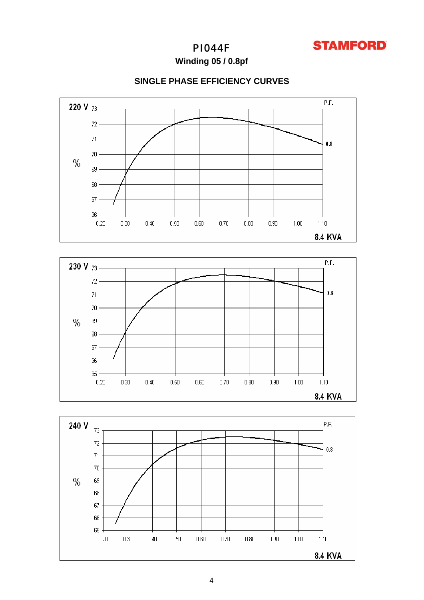

**Winding 05 / 0.8pf**







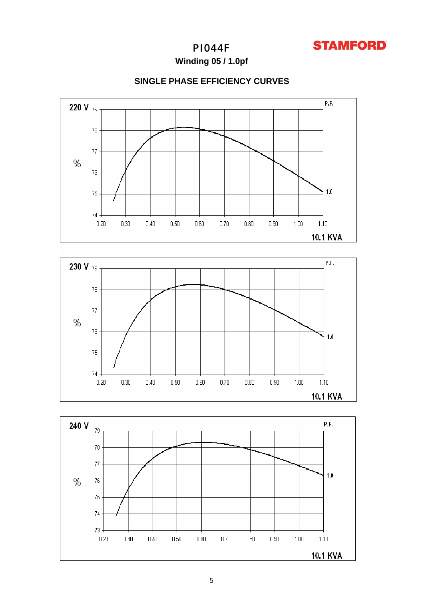

**Winding 05 / 1.0pf**







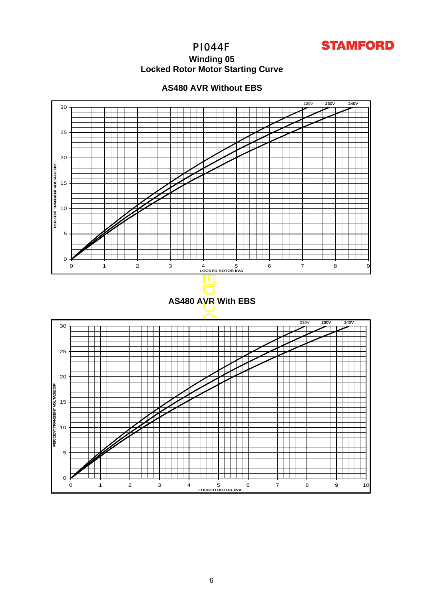

# **Winding 05 Locked Rotor Motor Startin g Curve**



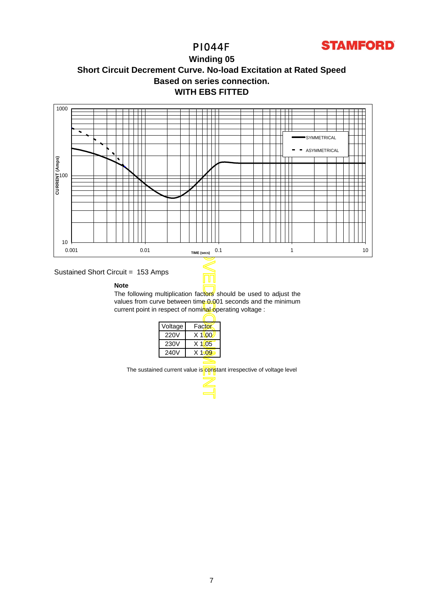

**Winding 05 Short Circuit Decrement Curve. No-load Excitation at Rated Speed Based on series connection. WITH EBS FITTED**



## Sustained Short Circuit = 153 Amps

### **Note**

The following multiplication factors should be used to adjust the values from curve between time 0.001 seconds and the minimum current point in respect of nominal operating voltage :

| Voltage     | Factor   |
|-------------|----------|
| <b>220V</b> | $X$ 1\00 |
| 230V        | $X$ 1005 |
| 240V        | $X$ 1.09 |
|             |          |

The sustained current value is constant irrespective of voltage level

7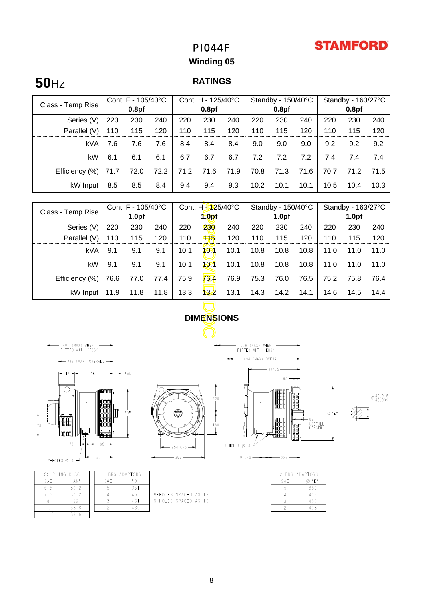# **STAMFORD**

# PI044F

# **Winding 05**

# **50**Hz **RATINGS**

|                   | Cont. F - 105/40°C |                   | Cont. H - 125/40°C |      |                   | Standby - 150/40°C |                   |      | Standby - 163/27°C |                   |      |      |
|-------------------|--------------------|-------------------|--------------------|------|-------------------|--------------------|-------------------|------|--------------------|-------------------|------|------|
| Class - Temp Rise |                    | 0.8 <sub>pf</sub> |                    |      | 0.8 <sub>pf</sub> |                    | 0.8 <sub>pf</sub> |      |                    | 0.8 <sub>pf</sub> |      |      |
| Series (V)        | 220                | 230               | 240                | 220  | 230               | 240                | 220               | 230  | 240                | 220               | 230  | 240  |
| Parallel (V)      | 110                | 115               | 120                | 110  | 115               | 120                | 110               | 115  | 120                | 110               | 115  | 120  |
| kVA               | 7.6                | 7.6               | 7.6                | 8.4  | 8.4               | 8.4                | 9.0               | 9.0  | 9.0                | 9.2               | 9.2  | 9.2  |
| kW                | 6.1                | 6.1               | 6.1                | 6.7  | 6.7               | 6.7                | 7.2               | 7.2  | 7.2                | 7.4               | 7.4  | 7.4  |
| Efficiency (%)    | 71.7               | 72.0              | 72.2               | 71.2 | 71.6              | 71.9               | 70.8              | 71.3 | 71.6               | 70.7              | 71.2 | 71.5 |
| kW Input          | 8.5                | 8.5               | 8.4                | 9.4  | 9.4               | 9.3                | 10.2              | 10.1 | 10.1               | 10.5              | 10.4 | 10.3 |

|                                                                      | Cont. F - 105/40°C                  |      | Cont. H - 25/40°C |                   | Standby - 150/40°C |      |                   | Standby - 163/27°C |                |                   |      |            |
|----------------------------------------------------------------------|-------------------------------------|------|-------------------|-------------------|--------------------|------|-------------------|--------------------|----------------|-------------------|------|------------|
| Class - Temp Rise                                                    | 1.0 <sub>pf</sub>                   |      |                   | 1.0 <sub>pf</sub> |                    |      | 1.0 <sub>pf</sub> |                    |                | 1.0 <sub>pf</sub> |      |            |
| Series (V)                                                           | 220                                 | 230  | 240               | 220               | 230                | 240  | 220               | 230                | 240            | 220               | 230  | 240        |
| Parallel (V)                                                         | 110                                 | 115  | 120               | 110               | 115                | 120  | 110               | 115                | 120            | 110               | 115  | 120        |
| <b>kVA</b>                                                           | 9.1                                 | 9.1  | 9.1               | 10.1              | 10 <sub>1</sub>    | 10.1 | 10.8              | 10.8               | 10.8           | 11.0              | 11.0 | 11.0       |
| kW                                                                   | 9.1                                 | 9.1  | 9.1               | 10.1              | 101                | 10.1 | 10.8              | 10.8               | 10.8           | 11.0              | 11.0 | 11.0       |
| Efficiency (%)                                                       | 76.6                                | 77.0 | 77.4              | 75.9              | 76.4               | 76.9 | 75.3              | 76.0               | 76.5           | 75.2              | 75.8 | 76.4       |
| kW Input                                                             | 11.9                                | 11.8 | 11.8              | 13.3              | 13.2               | 13.1 | 14.3              | 14.2               | 14.1           | 14.6              | 14.5 | 14.4       |
|                                                                      |                                     |      |                   |                   |                    |      |                   |                    |                |                   |      |            |
|                                                                      | <b>DIMENSIONS</b>                   |      |                   |                   |                    |      |                   |                    |                |                   |      |            |
|                                                                      |                                     |      |                   |                   |                    |      |                   |                    |                |                   |      |            |
| 181 (MAX) WHEN<br>FITTED WITH 'EBS'                                  | 576 (MAX) WHEN<br>FITTED WITH 'EBS' |      |                   |                   |                    |      |                   |                    |                |                   |      |            |
| - 494 (MAX) OVERALL<br>$\rightarrow$ 399 (MAX) OVERALL $\rightarrow$ |                                     |      |                   |                   |                    |      |                   |                    |                |                   |      |            |
| 374,5<br># 4 N #<br>— 116 <del>—</del> 1                             |                                     |      |                   |                   |                    |      |                   |                    |                |                   |      |            |
|                                                                      |                                     |      |                   |                   |                    |      |                   | 65.                |                |                   |      |            |
|                                                                      | <b>MANTH</b>                        |      |                   |                   |                    |      |                   |                    | nuuri<br>Maaal |                   |      | $-642,018$ |



| COUPLING DISC |         |  | <b>I-BRG ADAPTORS</b> |            |  |  |
|---------------|---------|--|-----------------------|------------|--|--|
| SAF.          | " A N " |  | SAF.                  | $H \cap H$ |  |  |
| 65            | 30.2    |  |                       | 361        |  |  |
|               | 30.2    |  |                       | 405        |  |  |
|               |         |  |                       | 45.        |  |  |
|               | 53.8    |  |                       | 489        |  |  |
|               | 396     |  |                       |            |  |  |

|  | $-254$ CRS $\cdot$ | 220<br>160 |
|--|--------------------|------------|
|  | 200                |            |

8-HOLES SPACED AS 12<br>8-HOLES SPACED AS 12



|     | 2-BRG ADAP <b>T</b> ORS |
|-----|-------------------------|
| SAF | "F"                     |
|     | 359                     |
|     | 406                     |
|     | 455                     |
|     | 493                     |